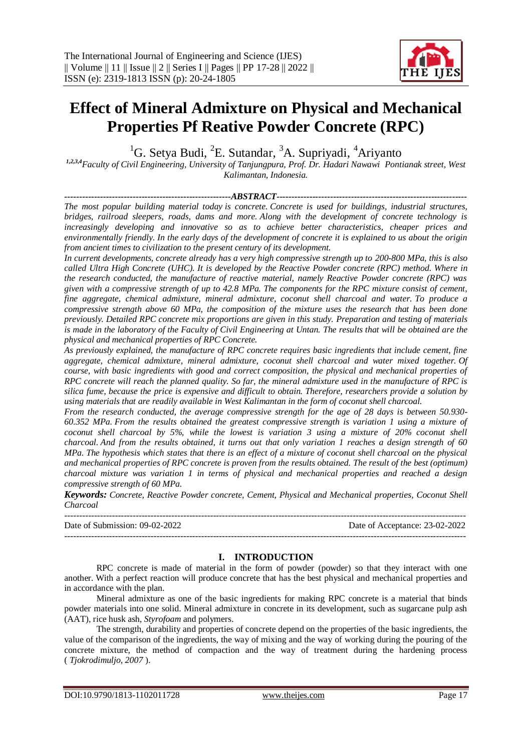# **Effect of Mineral Admixture on Physical and Mechanical Properties Pf Reative Powder Concrete (RPC)**

 ${}^{1}$ G. Setya Budi, <sup>2</sup>E. Sutandar, <sup>3</sup>A. Supriyadi, <sup>4</sup>Ariyanto

*1,2,3,4Faculty of Civil Engineering, University of Tanjungpura, Prof. Dr. Hadari Nawawi Pontianak street, West Kalimantan, Indonesia.*

*--------------------------------------------------------ABSTRACT---------------------------------------------------------------- The most popular building material today is concrete. Concrete is used for buildings, industrial structures, bridges, railroad sleepers, roads, dams and more. Along with the development of concrete technology is increasingly developing and innovative so as to achieve better characteristics, cheaper prices and environmentally friendly. In the early days of the development of concrete it is explained to us about the origin from ancient times to civilization to the present century of its development.* 

*In current developments, concrete already has a very high compressive strength up to 200-800 MPa, this is also called Ultra High Concrete (UHC). It is developed by the Reactive Powder concrete (RPC) method. Where in the research conducted, the manufacture of reactive material, namely Reactive Powder concrete (RPC) was given with a compressive strength of up to 42.8 MPa. The components for the RPC mixture consist of cement, fine aggregate, chemical admixture, mineral admixture, coconut shell charcoal and water. To produce a compressive strength above 60 MPa, the composition of the mixture uses the research that has been done previously. Detailed RPC concrete mix proportions are given in this study. Preparation and testing of materials is made in the laboratory of the Faculty of Civil Engineering at Untan. The results that will be obtained are the physical and mechanical properties of RPC Concrete.*

*As previously explained, the manufacture of RPC concrete requires basic ingredients that include cement, fine aggregate, chemical admixture, mineral admixture, coconut shell charcoal and water mixed together. Of course, with basic ingredients with good and correct composition, the physical and mechanical properties of RPC concrete will reach the planned quality. So far, the mineral admixture used in the manufacture of RPC is silica fume, because the price is expensive and difficult to obtain. Therefore, researchers provide a solution by using materials that are readily available in West Kalimantan in the form of coconut shell charcoal.*

*From the research conducted, the average compressive strength for the age of 28 days is between 50.930- 60.352 MPa. From the results obtained the greatest compressive strength is variation 1 using a mixture of coconut shell charcoal by 5%, while the lowest is variation 3 using a mixture of 20% coconut shell charcoal. And from the results obtained, it turns out that only variation 1 reaches a design strength of 60 MPa. The hypothesis which states that there is an effect of a mixture of coconut shell charcoal on the physical and mechanical properties of RPC concrete is proven from the results obtained. The result of the best (optimum) charcoal mixture was variation 1 in terms of physical and mechanical properties and reached a design compressive strength of 60 MPa.*

*Keywords: Concrete, Reactive Powder concrete, Cement, Physical and Mechanical properties, Coconut Shell Charcoal*

| Date of Submission: 09-02-2022 | Date of Acceptance: 23-02-2022 |
|--------------------------------|--------------------------------|
|                                |                                |

# **I. INTRODUCTION**

RPC concrete is made of material in the form of powder (powder) so that they interact with one another. With a perfect reaction will produce concrete that has the best physical and mechanical properties and in accordance with the plan.

Mineral admixture as one of the basic ingredients for making RPC concrete is a material that binds powder materials into one solid. Mineral admixture in concrete in its development, such as sugarcane pulp ash (AAT), rice husk ash, *Styrofoam* and polymers.

The strength, durability and properties of concrete depend on the properties of the basic ingredients, the value of the comparison of the ingredients, the way of mixing and the way of working during the pouring of the concrete mixture, the method of compaction and the way of treatment during the hardening process ( *Tjokrodimuljo, 2007* ).

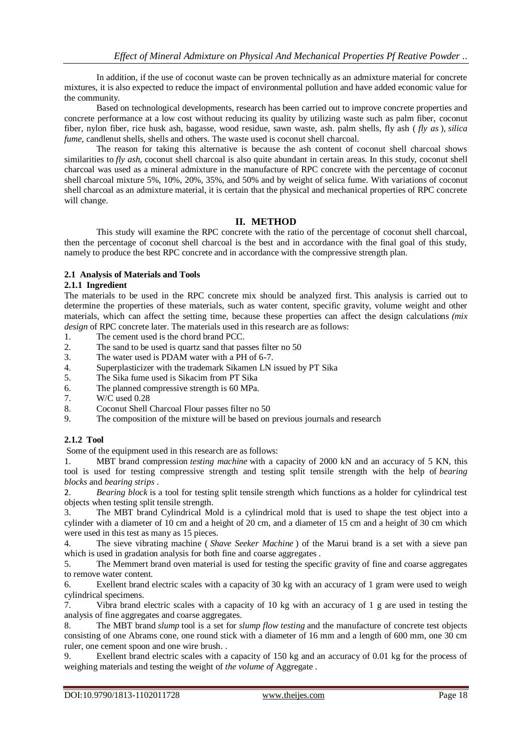In addition, if the use of coconut waste can be proven technically as an admixture material for concrete mixtures, it is also expected to reduce the impact of environmental pollution and have added economic value for the community.

Based on technological developments, research has been carried out to improve concrete properties and concrete performance at a low cost without reducing its quality by utilizing waste such as palm fiber, coconut fiber, nylon fiber, rice husk ash, bagasse, wood residue, sawn waste, ash. palm shells, fly ash ( *fly as* ), *silica fume*, candlenut shells, shells and others. The waste used is coconut shell charcoal.

The reason for taking this alternative is because the ash content of coconut shell charcoal shows similarities to *fly ash*, coconut shell charcoal is also quite abundant in certain areas. In this study, coconut shell charcoal was used as a mineral admixture in the manufacture of RPC concrete with the percentage of coconut shell charcoal mixture 5%, 10%, 20%, 35%, and 50% and by weight of selica fume. With variations of coconut shell charcoal as an admixture material, it is certain that the physical and mechanical properties of RPC concrete will change.

# **II. METHOD**

This study will examine the RPC concrete with the ratio of the percentage of coconut shell charcoal, then the percentage of coconut shell charcoal is the best and in accordance with the final goal of this study, namely to produce the best RPC concrete and in accordance with the compressive strength plan.

# **2.1 Analysis of Materials and Tools**

## **2.1.1 Ingredient**

The materials to be used in the RPC concrete mix should be analyzed first. This analysis is carried out to determine the properties of these materials, such as water content, specific gravity, volume weight and other materials, which can affect the setting time, because these properties can affect the design calculations *(mix design* of RPC concrete later. The materials used in this research are as follows:

- 1. The cement used is the chord brand PCC.<br>2. The sand to be used is quartz sand that pa
- The sand to be used is quartz sand that passes filter no 50
- 3. The water used is PDAM water with a PH of 6-7.
- 4. Superplasticizer with the trademark Sikamen LN issued by PT Sika
- 5. The Sika fume used is Sikacim from PT Sika
- 6. The planned compressive strength is 60 MPa.
- 7. W/C used 0.28
- 8. Coconut Shell Charcoal Flour passes filter no 50
- 9. The composition of the mixture will be based on previous journals and research

# **2.1.2 Tool**

Some of the equipment used in this research are as follows:

1. MBT brand compression *testing machine* with a capacity of 2000 kN and an accuracy of 5 KN, this tool is used for testing compressive strength and testing split tensile strength with the help of *bearing blocks* and *bearing strips* .

2. *Bearing block* is a tool for testing split tensile strength which functions as a holder for cylindrical test objects when testing split tensile strength.

3. The MBT brand Cylindrical Mold is a cylindrical mold that is used to shape the test object into a cylinder with a diameter of 10 cm and a height of 20 cm, and a diameter of 15 cm and a height of 30 cm which were used in this test as many as 15 pieces.

4. The sieve vibrating machine ( *Shave Seeker Machine* ) of the Marui brand is a set with a sieve pan which is used in gradation analysis for both fine and coarse aggregates.

5. The Memmert brand oven material is used for testing the specific gravity of fine and coarse aggregates to remove water content.

6. Exellent brand electric scales with a capacity of 30 kg with an accuracy of 1 gram were used to weigh cylindrical specimens.

7. Vibra brand electric scales with a capacity of 10 kg with an accuracy of 1 g are used in testing the analysis of fine aggregates and coarse aggregates.

8. The MBT brand *slump* tool is a set for *slump flow testing* and the manufacture of concrete test objects consisting of one Abrams cone, one round stick with a diameter of 16 mm and a length of 600 mm, one 30 cm ruler, one cement spoon and one wire brush. .

9. Exellent brand electric scales with a capacity of 150 kg and an accuracy of 0.01 kg for the process of weighing materials and testing the weight of *the volume of* Aggregate .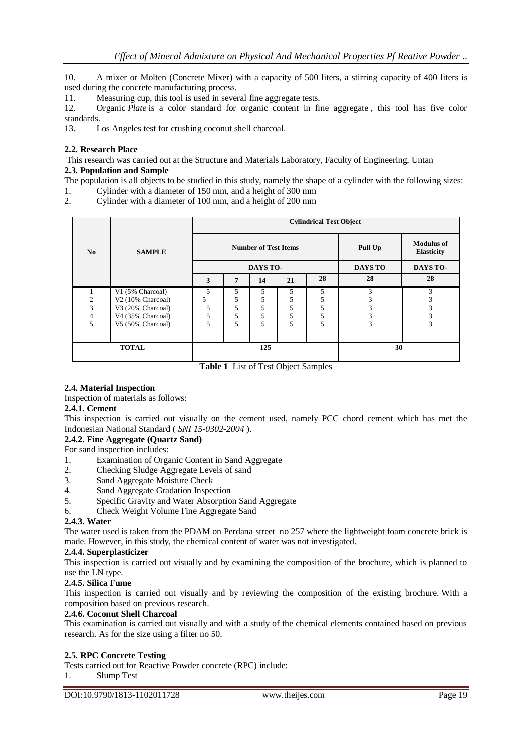10. A mixer or Molten (Concrete Mixer) with a capacity of 500 liters, a stirring capacity of 400 liters is used during the concrete manufacturing process.

11. Measuring cup, this tool is used in several fine aggregate tests.

12. Organic *Plate* is a color standard for organic content in fine aggregate , this tool has five color standards.

13. Los Angeles test for crushing coconut shell charcoal.

## **2.2. Research Place**

This research was carried out at the Structure and Materials Laboratory, Faculty of Engineering, Untan

## **2.3. Population and Sample**

The population is all objects to be studied in this study, namely the shape of a cylinder with the following sizes:

- 1. Cylinder with a diameter of 150 mm, and a height of 300 mm
- 2. Cylinder with a diameter of 100 mm, and a height of 200 mm

|                |                               |    |   |                             |    | <b>Cylindrical Test Object</b> |                |                                        |
|----------------|-------------------------------|----|---|-----------------------------|----|--------------------------------|----------------|----------------------------------------|
| No             | <b>SAMPLE</b>                 |    |   | <b>Number of Test Items</b> |    |                                | Pull Up        | <b>Modulus of</b><br><b>Elasticity</b> |
|                |                               |    |   | DAYS TO-                    |    |                                | <b>DAYS TO</b> | DAYS TO-                               |
|                |                               | 3  | 7 | 14                          | 21 | 28                             | 28             | 28                                     |
|                | V1 (5% Charcoal)              | 5  | 5 | 5                           | 5  | 5                              | 3              | 3                                      |
| 2              | V <sub>2</sub> (10% Charcoal) | 5. | 5 | 5                           | 5  | 5                              |                |                                        |
| $\overline{3}$ | V3 (20% Charcoal)             | 5  | 5 | 5                           | 5  | 5                              |                |                                        |
| 4              | V4 (35% Charcoal)             | 5  | 5 | 5                           | 5  | 5                              |                | 3                                      |
| 5              | V5 (50% Charcoal)             | 5  | 5 | 5                           | 5  | 5                              | 3              | 3                                      |
|                |                               |    |   |                             |    |                                |                |                                        |
|                | <b>TOTAL</b>                  |    |   | 125                         |    |                                | 30             |                                        |

**Table 1** List of Test Object Samples

# **2.4. Material Inspection**

Inspection of materials as follows:

#### **2.4.1. Cement**

This inspection is carried out visually on the cement used, namely PCC chord cement which has met the Indonesian National Standard ( *SNI 15-0302-2004* ).

## **2.4.2. Fine Aggregate (Quartz Sand)**

For sand inspection includes:

- 1. Examination of Organic Content in Sand Aggregate
- 2. Checking Sludge Aggregate Levels of sand
- 3. Sand Aggregate Moisture Check
- 4. Sand Aggregate Gradation Inspection
- 5. Specific Gravity and Water Absorption Sand Aggregate
- 6. Check Weight Volume Fine Aggregate Sand

# **2.4.3. Water**

The water used is taken from the PDAM on Perdana street no 257 where the lightweight foam concrete brick is made. However, in this study, the chemical content of water was not investigated.

#### **2.4.4. Superplasticizer**

This inspection is carried out visually and by examining the composition of the brochure, which is planned to use the LN type.

# **2.4.5. Silica Fume**

This inspection is carried out visually and by reviewing the composition of the existing brochure. With a composition based on previous research.

#### **2.4.6. Coconut Shell Charcoal**

This examination is carried out visually and with a study of the chemical elements contained based on previous research. As for the size using a filter no 50.

# **2.5. RPC Concrete Testing**

Tests carried out for Reactive Powder concrete (RPC) include:

1. Slump Test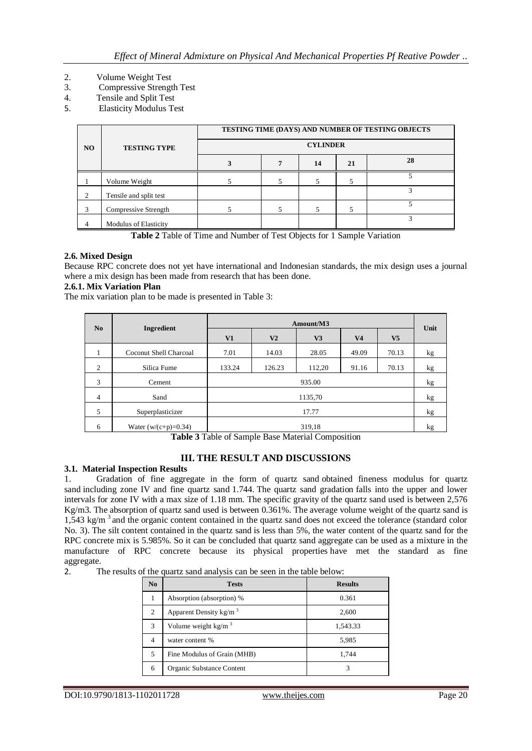- 2. Volume Weight Test<br>3. Compressive Strengt
- 3. Compressive Strength Test
- 4. Tensile and Split Test
- 5. Elasticity Modulus Test

| N <sub>O</sub> | <b>TESTING TYPE</b>    |  | <b>CYLINDER</b> |    | TESTING TIME (DAYS) AND NUMBER OF TESTING OBJECTS |
|----------------|------------------------|--|-----------------|----|---------------------------------------------------|
|                |                        |  | 14              | 21 | 28                                                |
|                | Volume Weight          |  |                 |    |                                                   |
| $\overline{2}$ | Tensile and split test |  |                 |    |                                                   |
| 3              | Compressive Strength   |  |                 |    |                                                   |
| $\overline{4}$ | Modulus of Elasticity  |  |                 |    | $\overline{\mathbf{3}}$                           |

**Table 2** Table of Time and Number of Test Objects for 1 Sample Variation

# **2.6. Mixed Design**

Because RPC concrete does not yet have international and Indonesian standards, the mix design uses a journal where a mix design has been made from research that has been done.

# **2.6.1. Mix Variation Plan**

The mix variation plan to be made is presented in Table 3:

| No | Ingredient             |        |                | Amount/M3 |                |                | Unit |
|----|------------------------|--------|----------------|-----------|----------------|----------------|------|
|    |                        | V1     | V <sub>2</sub> | V3        | V <sub>4</sub> | V <sub>5</sub> |      |
| 1  | Coconut Shell Charcoal | 7.01   | 14.03          | 28.05     | 49.09          | 70.13          | kg   |
| 2  | Silica Fume            | 133.24 | 126.23         | 112,20    | 91.16          | 70.13          | kg   |
| 3  | Cement                 |        |                | 935.00    |                |                | kg   |
| 4  | Sand                   |        |                | 1135,70   |                |                | kg   |
| 5  | Superplasticizer       |        |                | 17.77     |                |                | kg   |
| 6  | Water $(w/(c+p)=0.34)$ |        |                | 319,18    |                |                | kg   |

**Table 3** Table of Sample Base Material Composition

# **III. THE RESULT AND DISCUSSIONS**

# **3.1. Material Inspection Results**

1. Gradation of fine aggregate in the form of quartz sand obtained fineness modulus for quartz sand including zone IV and fine quartz sand 1.744. The quartz sand gradation falls into the upper and lower intervals for zone IV with a max size of 1.18 mm. The specific gravity of the quartz sand used is between 2,576 Kg/m3. The absorption of quartz sand used is between 0.361%. The average volume weight of the quartz sand is 1,543 kg/m<sup>3</sup> and the organic content contained in the quartz sand does not exceed the tolerance (standard color No. 3). The silt content contained in the quartz sand is less than 5%, the water content of the quartz sand for the RPC concrete mix is 5.985%. So it can be concluded that quartz sand aggregate can be used as a mixture in the manufacture of RPC concrete because its physical properties have met the standard as fine aggregate.

2. The results of the quartz sand analysis can be seen in the table below:

| No. | <b>Tests</b>                | <b>Results</b> |
|-----|-----------------------------|----------------|
|     | Absorption (absorption) %   | 0.361          |
| 2   | Apparent Density $kg/m3$    | 2,600          |
| 3   | Volume weight $kg/m3$       | 1,543.33       |
| 4   | water content %             | 5,985          |
| 5   | Fine Modulus of Grain (MHB) | 1,744          |
| 6   | Organic Substance Content   | 3              |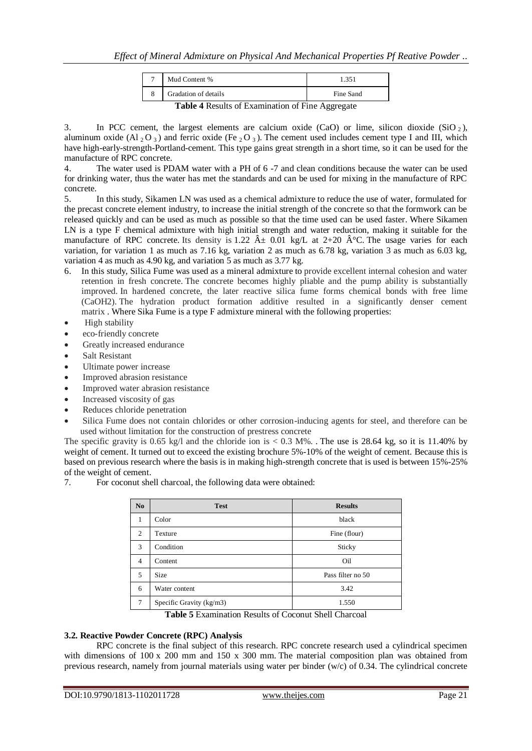| Mud Content %        |           |
|----------------------|-----------|
| Gradation of details | Fine Sand |

**Table 4** Results of Examination of Fine Aggregate

3. In PCC cement, the largest elements are calcium oxide (CaO) or lime, silicon dioxide (SiO  $_2$ ), aluminum oxide (Al  $_2$ O  $_3$ ) and ferric oxide (Fe  $_2$ O  $_3$ ). The cement used includes cement type I and III, which have high-early-strength-Portland-cement. This type gains great strength in a short time, so it can be used for the manufacture of RPC concrete.

4. The water used is PDAM water with a PH of 6 -7 and clean conditions because the water can be used for drinking water, thus the water has met the standards and can be used for mixing in the manufacture of RPC concrete.

5. In this study, Sikamen LN was used as a chemical admixture to reduce the use of water, formulated for the precast concrete element industry, to increase the initial strength of the concrete so that the formwork can be released quickly and can be used as much as possible so that the time used can be used faster. Where Sikamen LN is a type F chemical admixture with high initial strength and water reduction, making it suitable for the manufacture of RPC concrete. Its density is 1.22  $\hat{A} \pm 0.01$  kg/L at 2+20  $\hat{A}^{\circ}$ C. The usage varies for each variation, for variation 1 as much as 7.16 kg, variation 2 as much as 6.78 kg, variation 3 as much as 6.03 kg, variation 4 as much as 4.90 kg, and variation 5 as much as 3.77 kg.

- 6. In this study, Silica Fume was used as a mineral admixture to provide excellent internal cohesion and water retention in fresh concrete. The concrete becomes highly pliable and the pump ability is substantially improved. In hardened concrete, the later reactive silica fume forms chemical bonds with free lime (CaOH2). The hydration product formation additive resulted in a significantly denser cement matrix . Where Sika Fume is a type F admixture mineral with the following properties:
- High stability
- eco-friendly concrete
- Greatly increased endurance
- Salt Resistant
- Ultimate power increase
- Improved abrasion resistance
- Improved water abrasion resistance
- Increased viscosity of gas
- Reduces chloride penetration
- Silica Fume does not contain chlorides or other corrosion-inducing agents for steel, and therefore can be used without limitation for the construction of prestress concrete

The specific gravity is 0.65 kg/l and the chloride ion is  $< 0.3$  M%. The use is 28.64 kg, so it is 11.40% by weight of cement. It turned out to exceed the existing brochure 5%-10% of the weight of cement. Because this is based on previous research where the basis is in making high-strength concrete that is used is between 15%-25% of the weight of cement.

7. For coconut shell charcoal, the following data were obtained:

| N <sub>0</sub> | <b>Test</b>              | <b>Results</b>    |
|----------------|--------------------------|-------------------|
| 1              | Color                    | black             |
| $\overline{c}$ | Texture                  | Fine (flour)      |
| 3              | Condition                | Sticky            |
| $\overline{4}$ | Content                  | Oil               |
| 5              | <b>Size</b>              | Pass filter no 50 |
| 6              | Water content            | 3.42              |
| $\overline{7}$ | Specific Gravity (kg/m3) | 1.550             |

**Table 5** Examination Results of Coconut Shell Charcoal

# **3.2. Reactive Powder Concrete (RPC) Analysis**

RPC concrete is the final subject of this research. RPC concrete research used a cylindrical specimen with dimensions of 100 x 200 mm and 150 x 300 mm. The material composition plan was obtained from previous research, namely from journal materials using water per binder (w/c) of 0.34. The cylindrical concrete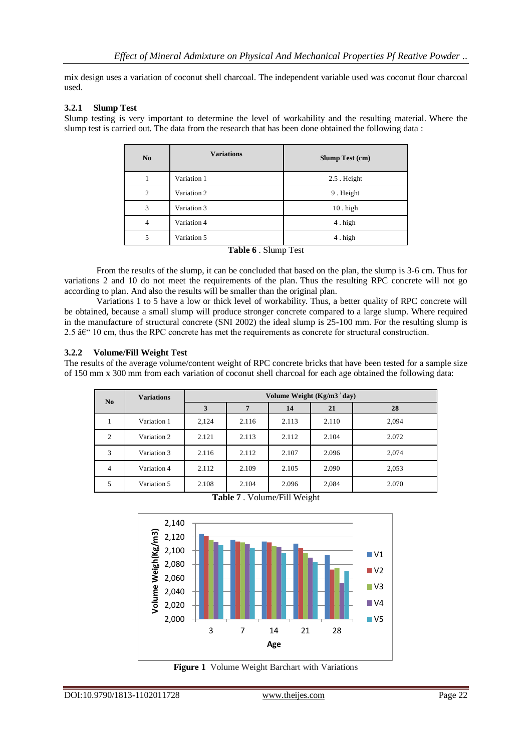mix design uses a variation of coconut shell charcoal. The independent variable used was coconut flour charcoal used.

## **3.2.1 Slump Test**

Slump testing is very important to determine the level of workability and the resulting material. Where the slump test is carried out. The data from the research that has been done obtained the following data :

| N <sub>0</sub> | <b>Variations</b>                                                                | <b>Slump Test (cm)</b> |
|----------------|----------------------------------------------------------------------------------|------------------------|
|                | Variation 1                                                                      | 2.5 Height             |
| 2              | Variation 2                                                                      | 9. Height              |
| 3              | Variation 3                                                                      | $10.$ high             |
| 4              | Variation 4                                                                      | 4. high                |
| 5              | Variation 5                                                                      | 4. high                |
|                | $\mathbf{T}$ . Let $\mathbf{C}$ a $\mathbf{C}$ and $\mathbf{T}$ and $\mathbf{C}$ |                        |

**Table 6** . Slump Test

From the results of the slump, it can be concluded that based on the plan, the slump is 3-6 cm. Thus for variations 2 and 10 do not meet the requirements of the plan. Thus the resulting RPC concrete will not go according to plan. And also the results will be smaller than the original plan.

Variations 1 to 5 have a low or thick level of workability. Thus, a better quality of RPC concrete will be obtained, because a small slump will produce stronger concrete compared to a large slump. Where required in the manufacture of structural concrete (SNI 2002) the ideal slump is 25-100 mm. For the resulting slump is 2.5  $\hat{a} \in \mathbb{C}^1$  10 cm, thus the RPC concrete has met the requirements as concrete for structural construction.

## **3.2.2 Volume/Fill Weight Test**

The results of the average volume/content weight of RPC concrete bricks that have been tested for a sample size of 150 mm x 300 mm from each variation of coconut shell charcoal for each age obtained the following data:

| N <sub>0</sub> | <b>Variations</b> |       |       |       | Volume Weight $(Kg/m3/day)$ |       |
|----------------|-------------------|-------|-------|-------|-----------------------------|-------|
|                |                   | 3     |       | 14    | 21                          | 28    |
|                | Variation 1       | 2,124 | 2.116 | 2.113 | 2.110                       | 2,094 |
| $\overline{2}$ | Variation 2       | 2.121 | 2.113 | 2.112 | 2.104                       | 2.072 |
| 3              | Variation 3       | 2.116 | 2.112 | 2.107 | 2.096                       | 2,074 |
| 4              | Variation 4       | 2.112 | 2.109 | 2.105 | 2.090                       | 2,053 |
| 5              | Variation 5       | 2.108 | 2.104 | 2.096 | 2,084                       | 2.070 |

**Table 7** . Volume/Fill Weight



**Figure 1** Volume Weight Barchart with Variations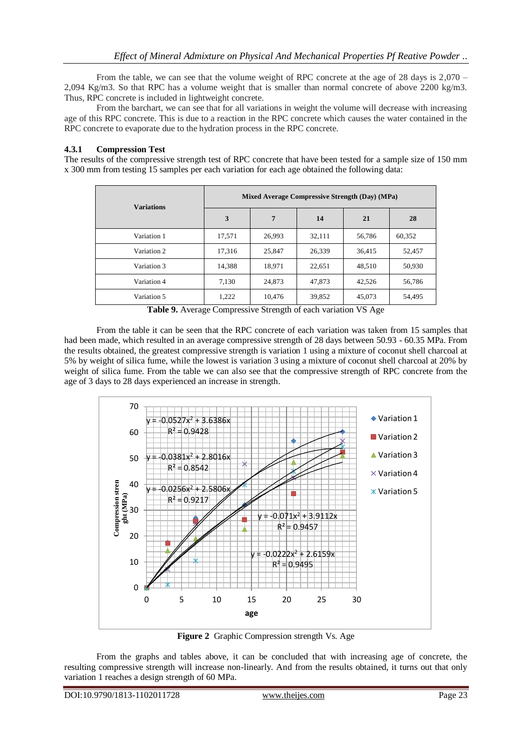From the table, we can see that the volume weight of RPC concrete at the age of 28 days is 2,070 – 2,094 Kg/m3. So that RPC has a volume weight that is smaller than normal concrete of above 2200 kg/m3. Thus, RPC concrete is included in lightweight concrete.

From the barchart, we can see that for all variations in weight the volume will decrease with increasing age of this RPC concrete. This is due to a reaction in the RPC concrete which causes the water contained in the RPC concrete to evaporate due to the hydration process in the RPC concrete.

# **4.3.1 Compression Test**

The results of the compressive strength test of RPC concrete that have been tested for a sample size of 150 mm x 300 mm from testing 15 samples per each variation for each age obtained the following data:

| <b>Variations</b> |                |        | Mixed Average Compressive Strength (Day) (MPa) |        |        |
|-------------------|----------------|--------|------------------------------------------------|--------|--------|
|                   | $\overline{3}$ | 7      | 14                                             | 21     | 28     |
| Variation 1       | 17.571         | 26,993 | 32,111                                         | 56,786 | 60.352 |
| Variation 2       | 17.316         | 25.847 | 26,339                                         | 36,415 | 52,457 |
| Variation 3       | 14,388         | 18,971 | 22,651                                         | 48,510 | 50,930 |
| Variation 4       | 7,130          | 24,873 | 47,873                                         | 42,526 | 56,786 |
| Variation 5       | 1,222          | 10.476 | 39,852                                         | 45,073 | 54,495 |

**Table 9.** Average Compressive Strength of each variation VS Age

From the table it can be seen that the RPC concrete of each variation was taken from 15 samples that had been made, which resulted in an average compressive strength of 28 days between 50.93 - 60.35 MPa. From the results obtained, the greatest compressive strength is variation 1 using a mixture of coconut shell charcoal at 5% by weight of silica fume, while the lowest is variation 3 using a mixture of coconut shell charcoal at 20% by weight of silica fume. From the table we can also see that the compressive strength of RPC concrete from the age of 3 days to 28 days experienced an increase in strength.



**Figure 2** Graphic Compression strength Vs. Age

From the graphs and tables above, it can be concluded that with increasing age of concrete, the resulting compressive strength will increase non-linearly. And from the results obtained, it turns out that only variation 1 reaches a design strength of 60 MPa.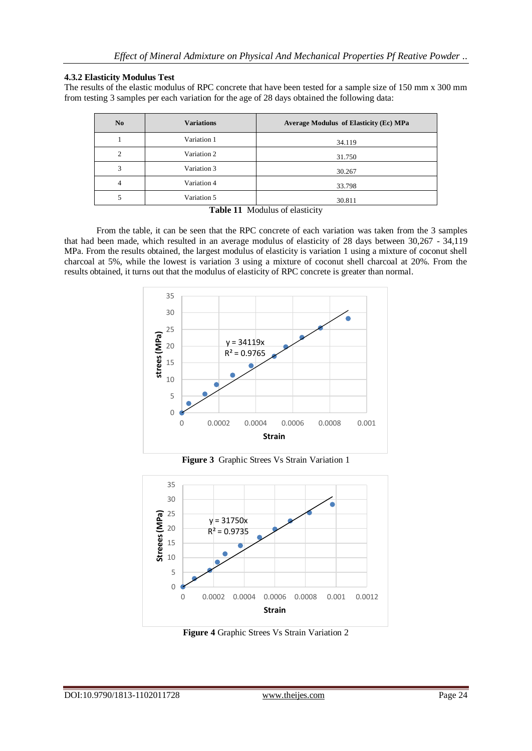# **4.3.2 Elasticity Modulus Test**

The results of the elastic modulus of RPC concrete that have been tested for a sample size of 150 mm x 300 mm from testing 3 samples per each variation for the age of 28 days obtained the following data:

| N <sub>0</sub> | <b>Variations</b> | Average Modulus of Elasticity (Ec) MPa |
|----------------|-------------------|----------------------------------------|
|                | Variation 1       | 34.119                                 |
| ↑              | Variation 2       | 31.750                                 |
| 3              | Variation 3       | 30.267                                 |
| 4              | Variation 4       | 33.798                                 |
|                | Variation 5       | 30.811                                 |

## **Table 11** Modulus of elasticity

From the table, it can be seen that the RPC concrete of each variation was taken from the 3 samples that had been made, which resulted in an average modulus of elasticity of 28 days between 30,267 - 34,119 MPa. From the results obtained, the largest modulus of elasticity is variation 1 using a mixture of coconut shell charcoal at 5%, while the lowest is variation 3 using a mixture of coconut shell charcoal at 20%. From the results obtained, it turns out that the modulus of elasticity of RPC concrete is greater than normal.



**Figure 3** Graphic Strees Vs Strain Variation 1



**Figure 4** Graphic Strees Vs Strain Variation 2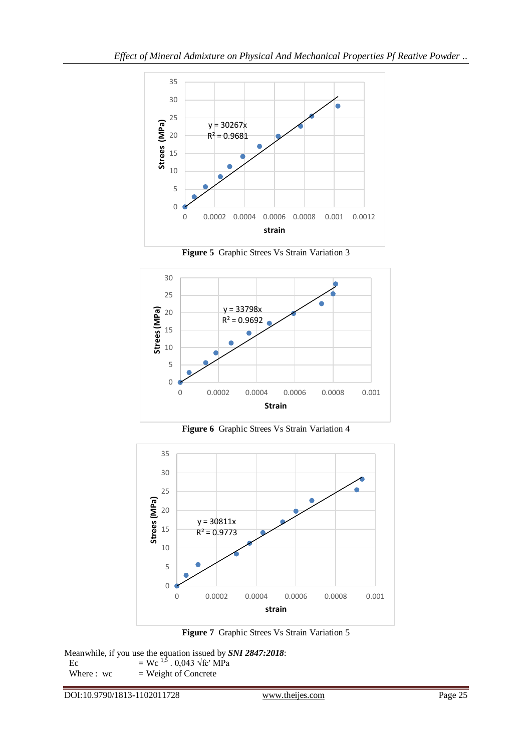

**Figure 5** Graphic Strees Vs Strain Variation 3



**Figure 6** Graphic Strees Vs Strain Variation 4



**Figure 7** Graphic Strees Vs Strain Variation 5

Meanwhile, if you use the equation issued by *SNI 2847:2018*: Ec  $= \text{Wc}^{1,\overline{5}}$ . 0,043 √fc′ MPa Where :  $wc = Weight of$  Concrete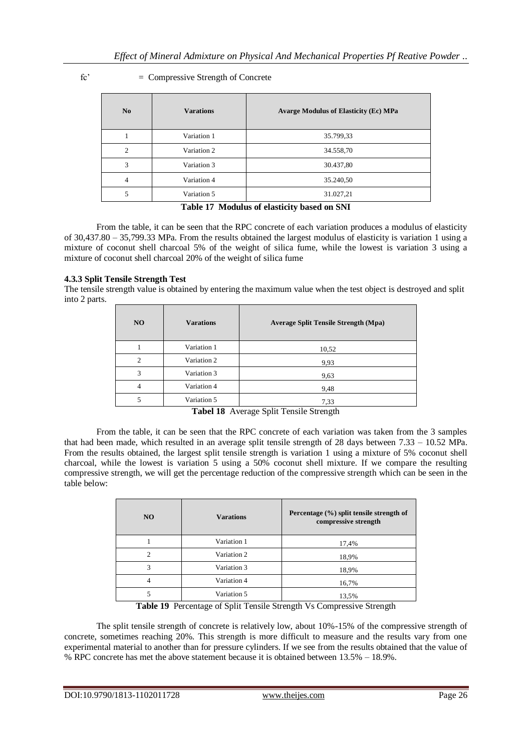| fc'<br>$=$ Compressive Strength of Concrete |
|---------------------------------------------|
|---------------------------------------------|

| No             | <b>Varations</b> | <b>Avarge Modulus of Elasticity (Ec) MPa</b> |  |  |
|----------------|------------------|----------------------------------------------|--|--|
|                | Variation 1      | 35.799,33                                    |  |  |
| $\mathfrak{D}$ | Variation 2      | 34.558,70                                    |  |  |
| 3              | Variation 3      | 30.437,80                                    |  |  |
| $\overline{4}$ | Variation 4      | 35.240,50                                    |  |  |
| 5              | Variation 5      | 31.027,21                                    |  |  |

## **Table 17 Modulus of elasticity based on SNI**

From the table, it can be seen that the RPC concrete of each variation produces a modulus of elasticity of 30,437.80 – 35,799.33 MPa. From the results obtained the largest modulus of elasticity is variation 1 using a mixture of coconut shell charcoal 5% of the weight of silica fume, while the lowest is variation 3 using a mixture of coconut shell charcoal 20% of the weight of silica fume

# **4.3.3 Split Tensile Strength Test**

The tensile strength value is obtained by entering the maximum value when the test object is destroyed and split into 2 parts.

| NO.           | <b>Varations</b> | <b>Average Split Tensile Strength (Mpa)</b> |  |  |
|---------------|------------------|---------------------------------------------|--|--|
|               | Variation 1      | 10,52                                       |  |  |
| $\mathcal{D}$ | Variation 2      | 9,93                                        |  |  |
| 3             | Variation 3      | 9,63                                        |  |  |
| 4             | Variation 4      | 9,48                                        |  |  |
|               | Variation 5      | 7.33                                        |  |  |

**Tabel 18** Average Split Tensile Strength

From the table, it can be seen that the RPC concrete of each variation was taken from the 3 samples that had been made, which resulted in an average split tensile strength of 28 days between 7.33 – 10.52 MPa. From the results obtained, the largest split tensile strength is variation 1 using a mixture of 5% coconut shell charcoal, while the lowest is variation 5 using a 50% coconut shell mixture. If we compare the resulting compressive strength, we will get the percentage reduction of the compressive strength which can be seen in the table below:

| NO. | <b>Varations</b> | Percentage (%) split tensile strength of<br>compressive strength |
|-----|------------------|------------------------------------------------------------------|
|     | Variation 1      | 17,4%                                                            |
| 2   | Variation 2      | 18,9%                                                            |
| 3   | Variation 3      | 18,9%                                                            |
| 4   | Variation 4      | 16,7%                                                            |
|     | Variation 5      | 13,5%                                                            |

**Table 19** Percentage of Split Tensile Strength Vs Compressive Strength

The split tensile strength of concrete is relatively low, about 10%-15% of the compressive strength of concrete, sometimes reaching 20%. This strength is more difficult to measure and the results vary from one experimental material to another than for pressure cylinders. If we see from the results obtained that the value of % RPC concrete has met the above statement because it is obtained between 13.5% – 18.9%.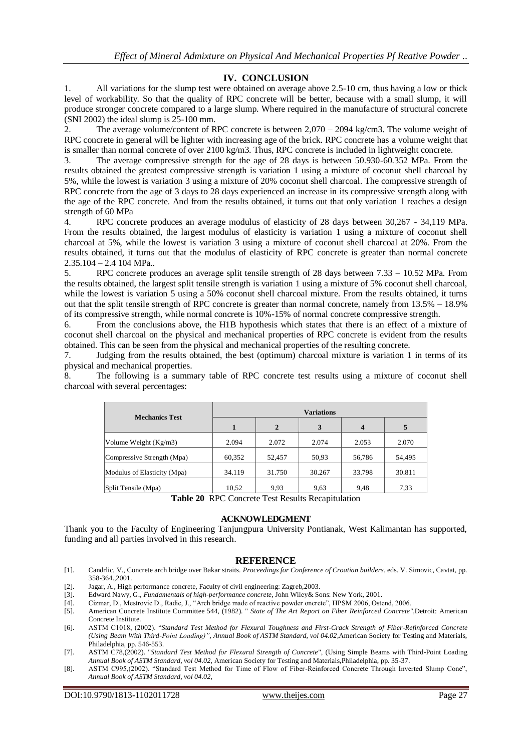# **IV. CONCLUSION**

1. All variations for the slump test were obtained on average above 2.5-10 cm, thus having a low or thick level of workability. So that the quality of RPC concrete will be better, because with a small slump, it will produce stronger concrete compared to a large slump. Where required in the manufacture of structural concrete (SNI 2002) the ideal slump is 25-100 mm.

2. The average volume/content of RPC concrete is between 2,070 – 2094 kg/cm3. The volume weight of RPC concrete in general will be lighter with increasing age of the brick. RPC concrete has a volume weight that is smaller than normal concrete of over 2100 kg/m3. Thus, RPC concrete is included in lightweight concrete.

3. The average compressive strength for the age of 28 days is between 50.930-60.352 MPa. From the results obtained the greatest compressive strength is variation 1 using a mixture of coconut shell charcoal by 5%, while the lowest is variation 3 using a mixture of 20% coconut shell charcoal. The compressive strength of RPC concrete from the age of 3 days to 28 days experienced an increase in its compressive strength along with the age of the RPC concrete. And from the results obtained, it turns out that only variation 1 reaches a design strength of 60 MPa

4. RPC concrete produces an average modulus of elasticity of 28 days between 30,267 - 34,119 MPa. From the results obtained, the largest modulus of elasticity is variation 1 using a mixture of coconut shell charcoal at 5%, while the lowest is variation 3 using a mixture of coconut shell charcoal at 20%. From the results obtained, it turns out that the modulus of elasticity of RPC concrete is greater than normal concrete  $2.35.104 - 2.4104$  MPa..

5. RPC concrete produces an average split tensile strength of 28 days between 7.33 – 10.52 MPa. From the results obtained, the largest split tensile strength is variation 1 using a mixture of 5% coconut shell charcoal, while the lowest is variation 5 using a 50% coconut shell charcoal mixture. From the results obtained, it turns out that the split tensile strength of RPC concrete is greater than normal concrete, namely from 13.5% – 18.9% of its compressive strength, while normal concrete is 10%-15% of normal concrete compressive strength.

6. From the conclusions above, the H1B hypothesis which states that there is an effect of a mixture of coconut shell charcoal on the physical and mechanical properties of RPC concrete is evident from the results obtained. This can be seen from the physical and mechanical properties of the resulting concrete.

7. Judging from the results obtained, the best (optimum) charcoal mixture is variation 1 in terms of its physical and mechanical properties.

8. The following is a summary table of RPC concrete test results using a mixture of coconut shell charcoal with several percentages:

| <b>Mechanics Test</b>       | <b>Variations</b> |              |        |                  |        |  |  |
|-----------------------------|-------------------|--------------|--------|------------------|--------|--|--|
|                             |                   | $\mathbf{2}$ | 3      | $\boldsymbol{4}$ | 5      |  |  |
| Volume Weight (Kg/m3)       | 2.094             | 2.072        | 2.074  | 2.053            | 2.070  |  |  |
| Compressive Strength (Mpa)  | 60,352            | 52,457       | 50,93  | 56,786           | 54,495 |  |  |
| Modulus of Elasticity (Mpa) | 34.119            | 31.750       | 30.267 | 33.798           | 30.811 |  |  |
| Split Tensile (Mpa)         | 10,52             | 9,93         | 9,63   | 9,48             | 7.33   |  |  |

**Table 20** RPC Concrete Test Results Recapitulation

#### **ACKNOWLEDGMENT**

Thank you to the Faculty of Engineering Tanjungpura University Pontianak, West Kalimantan has supported, funding and all parties involved in this research.

#### **REFERENCE**

- [1]. Candrlic, V., Concrete arch bridge over Bakar straits. *Proceedings for Conference of Croatian builders*, eds. V. Simovic, Cavtat, pp. 358-364.,2001.
- [2]. Jagar, A., High performance concrete, Faculty of civil engineering: Zagreb,2003.
- [3]. Edward Nawy, G., *Fundamentals of high-performance concrete,* John Wiley& Sons: New York, 2001.
- [4]. Cizmar, D., Mestrovic D., Radic, J., "Arch bridge made of reactive powder oncrete", HPSM 2006, Ostend, 2006.
- [5]. American Concrete Institute Committee 544, (1982). " *State of The Art Report on Fiber Reinforced Concrete",*Detroit: American Concrete Institute.
- [6]. ASTM C1018, (2002). "*Standard Test Method for Flexural Toughness and First-Crack Strength of Fiber-Refinforced Concrete (Using Beam With Third-Point Loading)"*, *Annual Book of ASTM Standard, vol 04.02,*American Society for Testing and Materials, Philadelphia, pp. 546-553.
- [7]. ASTM C78,(2002). "*Standard Test Method for Flexural Strength of Concrete*", (Using Simple Beams with Third-Point Loading *Annual Book of ASTM Standard, vol 04.02,* American Society for Testing and Materials,Philadelphia, pp. 35-37.
- [8]. ASTM C995,(2002). "Standard Test Method for Time of Flow of Fiber-Reinforced Concrete Through Inverted Slump Cone", *Annual Book of ASTM Standard, vol 04.02,*